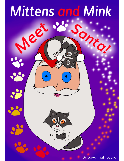

**By Savannah Laura**